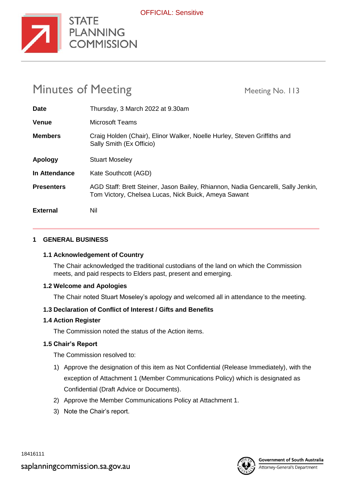

| <b>Minutes of Meeting</b> |                                                                                                                                           | Meeting No. 113 |
|---------------------------|-------------------------------------------------------------------------------------------------------------------------------------------|-----------------|
| <b>Date</b>               | Thursday, 3 March 2022 at 9.30am                                                                                                          |                 |
| <b>Venue</b>              | Microsoft Teams                                                                                                                           |                 |
| <b>Members</b>            | Craig Holden (Chair), Elinor Walker, Noelle Hurley, Steven Griffiths and<br>Sally Smith (Ex Officio)                                      |                 |
| Apology                   | <b>Stuart Moseley</b>                                                                                                                     |                 |
| <b>In Attendance</b>      | Kate Southcott (AGD)                                                                                                                      |                 |
| <b>Presenters</b>         | AGD Staff: Brett Steiner, Jason Bailey, Rhiannon, Nadia Gencarelli, Sally Jenkin,<br>Tom Victory, Chelsea Lucas, Nick Buick, Ameya Sawant |                 |
| <b>External</b>           | Nil                                                                                                                                       |                 |

#### **1 GENERAL BUSINESS**

#### **1.1 Acknowledgement of Country**

**STATE** 

**COMMISSION** 

The Chair acknowledged the traditional custodians of the land on which the Commission meets, and paid respects to Elders past, present and emerging.

#### **1.2 Welcome and Apologies**

The Chair noted Stuart Moseley's apology and welcomed all in attendance to the meeting.

#### **1.3 Declaration of Conflict of Interest / Gifts and Benefits**

#### **1.4 Action Register**

The Commission noted the status of the Action items.

#### **1.5 Chair's Report**

The Commission resolved to:

- 1) Approve the designation of this item as Not Confidential (Release Immediately), with the exception of Attachment 1 (Member Communications Policy) which is designated as Confidential (Draft Advice or Documents).
- 2) Approve the Member Communications Policy at Attachment 1.
- 3) Note the Chair's report.

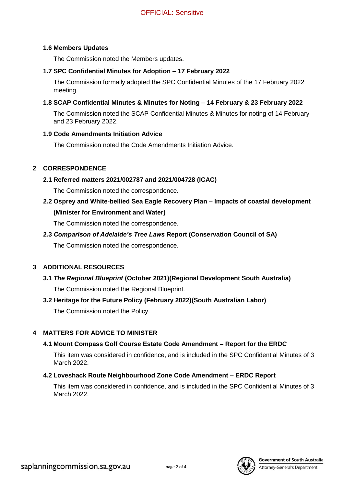#### **1.6 Members Updates**

The Commission noted the Members updates.

## **1.7 SPC Confidential Minutes for Adoption – 17 February 2022**

The Commission formally adopted the SPC Confidential Minutes of the 17 February 2022 meeting.

## **1.8 SCAP Confidential Minutes & Minutes for Noting – 14 February & 23 February 2022**

The Commission noted the SCAP Confidential Minutes & Minutes for noting of 14 February and 23 February 2022.

## **1.9 Code Amendments Initiation Advice**

The Commission noted the Code Amendments Initiation Advice.

## **2 CORRESPONDENCE**

## **2.1 Referred matters 2021/002787 and 2021/004728 (ICAC)**

The Commission noted the correspondence.

**2.2 Osprey and White-bellied Sea Eagle Recovery Plan – Impacts of coastal development (Minister for Environment and Water)**

The Commission noted the correspondence.

## **2.3** *Comparison of Adelaide's Tree Laws* **Report (Conservation Council of SA)**

The Commission noted the correspondence.

## **3 ADDITIONAL RESOURCES**

# **3.1** *The Regional Blueprint* **(October 2021)(Regional Development South Australia)** The Commission noted the Regional Blueprint.

## **3.2 Heritage for the Future Policy (February 2022)(South Australian Labor)**

The Commission noted the Policy.

## **4 MATTERS FOR ADVICE TO MINISTER**

## **4.1 Mount Compass Golf Course Estate Code Amendment – Report for the ERDC**

This item was considered in confidence, and is included in the SPC Confidential Minutes of 3 March 2022.

## **4.2 Loveshack Route Neighbourhood Zone Code Amendment – ERDC Report**

This item was considered in confidence, and is included in the SPC Confidential Minutes of 3 March 2022.



Attorney-General's Department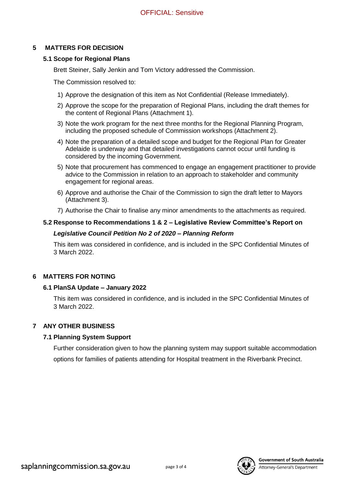### **5 MATTERS FOR DECISION**

#### **5.1 Scope for Regional Plans**

Brett Steiner, Sally Jenkin and Tom Victory addressed the Commission.

The Commission resolved to:

- 1) Approve the designation of this item as Not Confidential (Release Immediately).
- 2) Approve the scope for the preparation of Regional Plans, including the draft themes for the content of Regional Plans (Attachment 1).
- 3) Note the work program for the next three months for the Regional Planning Program, including the proposed schedule of Commission workshops (Attachment 2).
- 4) Note the preparation of a detailed scope and budget for the Regional Plan for Greater Adelaide is underway and that detailed investigations cannot occur until funding is considered by the incoming Government.
- 5) Note that procurement has commenced to engage an engagement practitioner to provide advice to the Commission in relation to an approach to stakeholder and community engagement for regional areas.
- 6) Approve and authorise the Chair of the Commission to sign the draft letter to Mayors (Attachment 3).
- 7) Authorise the Chair to finalise any minor amendments to the attachments as required.

#### **5.2 Response to Recommendations 1 & 2 – Legislative Review Committee's Report on**

#### *Legislative Council Petition No 2 of 2020 – Planning Reform*

This item was considered in confidence, and is included in the SPC Confidential Minutes of 3 March 2022.

## **6 MATTERS FOR NOTING**

#### **6.1 PlanSA Update – January 2022**

This item was considered in confidence, and is included in the SPC Confidential Minutes of 3 March 2022.

## **7 ANY OTHER BUSINESS**

## **7.1 Planning System Support**

Further consideration given to how the planning system may support suitable accommodation options for families of patients attending for Hospital treatment in the Riverbank Precinct.